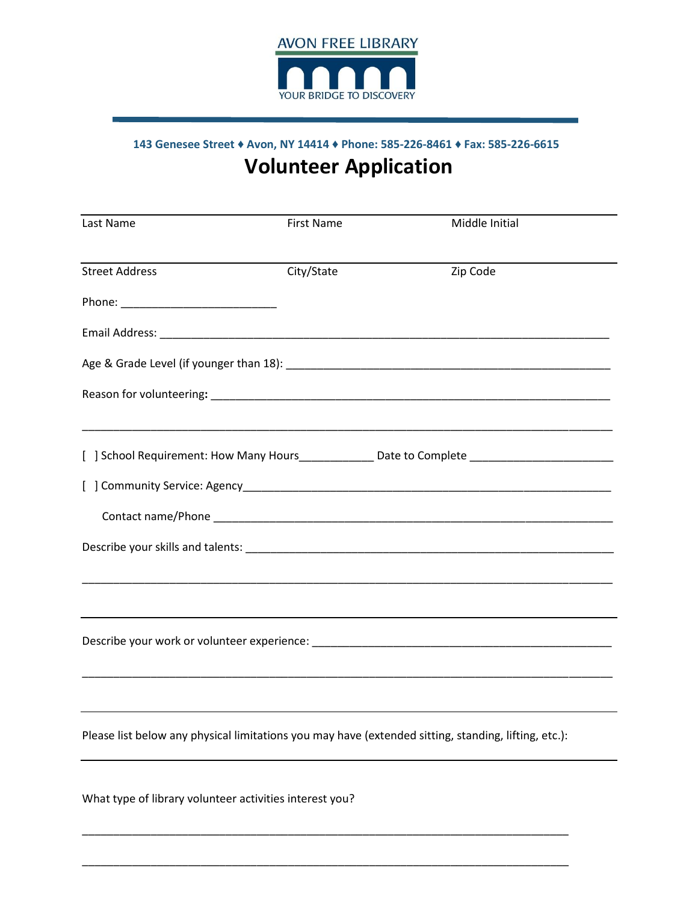

## **143 Genesee Street ♦ Avon, NY 14414 ♦ Phone: 585-226-8461 ♦ Fax: 585-226-6615 Volunteer Application**

| Last Name             | <b>First Name</b> | Middle Initial                                                                                                                                                                                                                 |  |
|-----------------------|-------------------|--------------------------------------------------------------------------------------------------------------------------------------------------------------------------------------------------------------------------------|--|
| <b>Street Address</b> | City/State        | Zip Code                                                                                                                                                                                                                       |  |
|                       |                   |                                                                                                                                                                                                                                |  |
|                       |                   |                                                                                                                                                                                                                                |  |
|                       |                   |                                                                                                                                                                                                                                |  |
|                       |                   |                                                                                                                                                                                                                                |  |
|                       |                   | <u> 1989 - Johann John Stone, mars and de format de la provincia de la provincia de la provincia de la provincia d</u><br>[ ] School Requirement: How Many Hours______________ Date to Complete ______________________________ |  |
|                       |                   |                                                                                                                                                                                                                                |  |
|                       |                   |                                                                                                                                                                                                                                |  |
|                       |                   |                                                                                                                                                                                                                                |  |
|                       |                   |                                                                                                                                                                                                                                |  |
|                       |                   |                                                                                                                                                                                                                                |  |
|                       |                   |                                                                                                                                                                                                                                |  |
|                       |                   | ,我们也不能在这里的时候,我们也不能在这里的时候,我们也不能会在这里,我们也不能会在这里的时候,我们也不能会在这里的时候,我们也不能会在这里的时候,我们也不能会                                                                                                                                               |  |
|                       |                   |                                                                                                                                                                                                                                |  |
|                       |                   | Please list below any physical limitations you may have (extended sitting, standing, lifting, etc.):                                                                                                                           |  |
|                       |                   |                                                                                                                                                                                                                                |  |

\_\_\_\_\_\_\_\_\_\_\_\_\_\_\_\_\_\_\_\_\_\_\_\_\_\_\_\_\_\_\_\_\_\_\_\_\_\_\_\_\_\_\_\_\_\_\_\_\_\_\_\_\_\_\_\_\_\_\_\_\_\_\_\_\_\_\_\_\_\_\_\_\_\_\_\_\_\_

\_\_\_\_\_\_\_\_\_\_\_\_\_\_\_\_\_\_\_\_\_\_\_\_\_\_\_\_\_\_\_\_\_\_\_\_\_\_\_\_\_\_\_\_\_\_\_\_\_\_\_\_\_\_\_\_\_\_\_\_\_\_\_\_\_\_\_\_\_\_\_\_\_\_\_\_\_\_

What type of library volunteer activities interest you?